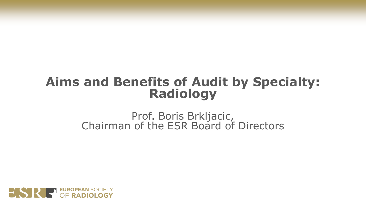# **Aims and Benefits of Audit by Specialty: Radiology**

Prof. Boris Brkljacic, Chairman of the ESR Board of Directors

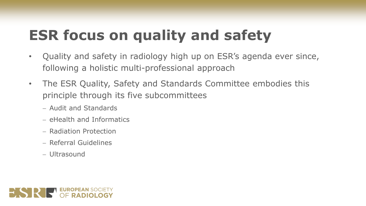# **ESR focus on quality and safety**

- Quality and safety in radiology high up on ESR's agenda ever since, following a holistic multi-professional approach
- The ESR Quality, Safety and Standards Committee embodies this principle through its five subcommittees
	- − Audit and Standards
	- − eHealth and Informatics
	- − Radiation Protection
	- − Referral Guidelines
	- − Ultrasound

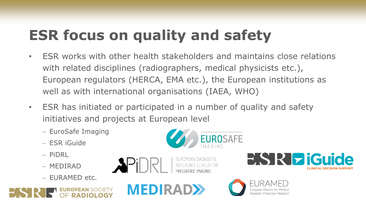# **ESR focus on quality and safety**

- ESR works with other health stakeholders and maintains close relations with related disciplines (radiographers, medical physicists etc.), European regulators (HERCA, EMA etc.), the European institutions as well as with international organisations (IAEA, WHO)
- ESR has initiated or participated in a number of quality and safety initiatives and projects at European level
	- − EuroSafe Imaging
	- − ESR iGuide
	- − PiDRL
	- − MEDIRAD
	- − EURAMED etc.







**EISIRI ziGuide** 

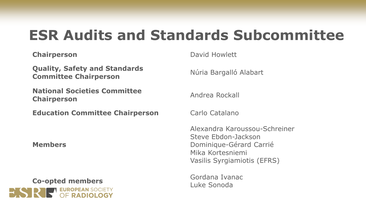## **ESR Audits and Standards Subcommittee**

**Quality, Safety and Standards Committee Chairperson** Núria Bargalló Alabart

**National Societies Committee Chairperson Chairperson** 

**Education Committee Chairperson Carlo Catalano** 

**Members**



**Chairperson** David Howlett

Alexandra Karoussou-Schreiner Steve Ebdon-Jackson Dominique-Gérard Carrié Mika Kortesniemi Vasilis Syrgiamiotis (EFRS)

Luke Sonoda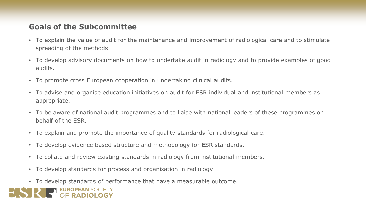#### **Goals of the Subcommittee**

- To explain the value of audit for the maintenance and improvement of radiological care and to stimulate spreading of the methods.
- To develop advisory documents on how to undertake audit in radiology and to provide examples of good audits.
- To promote cross European cooperation in undertaking clinical audits.
- To advise and organise education initiatives on audit for ESR individual and institutional members as appropriate.
- To be aware of national audit programmes and to liaise with national leaders of these programmes on behalf of the ESR.
- To explain and promote the importance of quality standards for radiological care.
- To develop evidence based structure and methodology for ESR standards.
- To collate and review existing standards in radiology from institutional members.
- To develop standards for process and organisation in radiology.
- To develop standards of performance that have a measurable outcome.

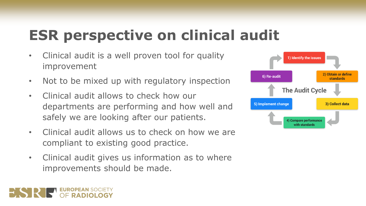# **ESR perspective on clinical audit**

- Clinical audit is a well proven tool for quality improvement
- Not to be mixed up with regulatory inspection
- Clinical audit allows to check how our departments are performing and how well and safely we are looking after our patients.
- Clinical audit allows us to check on how we are compliant to existing good practice.
- Clinical audit gives us information as to where improvements should be made.

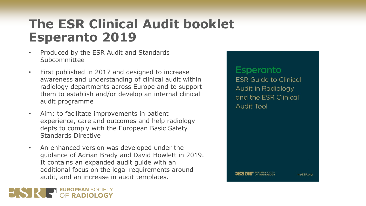- Produced by the ESR Audit and Standards Subcommittee
- First published in 2017 and designed to increase awareness and understanding of clinical audit within radiology departments across Europe and to support them to establish and/or develop an internal clinical audit programme
- Aim: to facilitate improvements in patient experience, care and outcomes and help radiology depts to comply with the European Basic Safety Standards Directive
- An enhanced version was developed under the guidance of Adrian Brady and David Howlett in 2019. It contains an expanded audit guide with an additional focus on the legal requirements around audit, and an increase in audit templates.

#### **Esperanto**

**ESR Guide to Clinical** Audit in Radiology and the ESR Clinical **Audit Tool** 

mvESR.org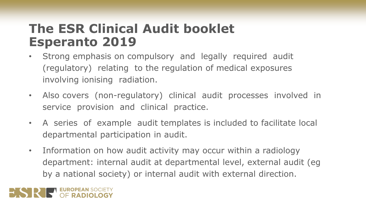- Strong emphasis on compulsory and legally required audit (regulatory) relating to the regulation of medical exposures involving ionising radiation.
- Also covers (non-regulatory) clinical audit processes involved in service provision and clinical practice.
- A series of example audit templates is included to facilitate local departmental participation in audit.
- Information on how audit activity may occur within a radiology department: internal audit at departmental level, external audit (eg by a national society) or internal audit with external direction.

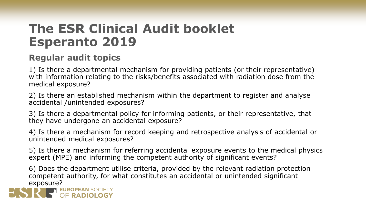#### **Regular audit topics**

1) Is there a departmental mechanism for providing patients (or their representative) with information relating to the risks/benefits associated with radiation dose from the medical exposure?

2) Is there an established mechanism within the department to register and analyse accidental /unintended exposures?

3) Is there a departmental policy for informing patients, or their representative, that they have undergone an accidental exposure?

4) Is there a mechanism for record keeping and retrospective analysis of accidental or unintended medical exposures?

5) Is there a mechanism for referring accidental exposure events to the medical physics expert (MPE) and informing the competent authority of significant events?

6) Does the department utilise criteria, provided by the relevant radiation protection competent authority, for what constitutes an accidental or unintended significant **EXPOSURE?**<br>**EXPOSURE: EUROPEAN** SOCIETY

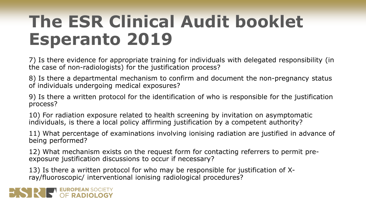7) Is there evidence for appropriate training for individuals with delegated responsibility (in the case of non-radiologists) for the justification process?

8) Is there a departmental mechanism to confirm and document the non-pregnancy status of individuals undergoing medical exposures?

9) Is there a written protocol for the identification of who is responsible for the justification process?

10) For radiation exposure related to health screening by invitation on asymptomatic individuals, is there a local policy affirming justification by a competent authority?

11) What percentage of examinations involving ionising radiation are justified in advance of being performed?

12) What mechanism exists on the request form for contacting referrers to permit preexposure justification discussions to occur if necessary?

13) Is there a written protocol for who may be responsible for justification of Xray/fluoroscopic/ interventional ionising radiological procedures?

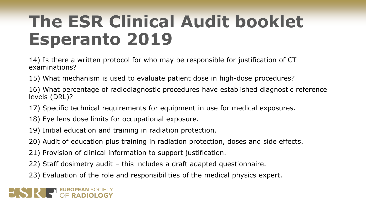14) Is there a written protocol for who may be responsible for justification of CT examinations?

15) What mechanism is used to evaluate patient dose in high-dose procedures?

16) What percentage of radiodiagnostic procedures have established diagnostic reference levels (DRL)?

17) Specific technical requirements for equipment in use for medical exposures.

- 18) Eye lens dose limits for occupational exposure.
- 19) Initial education and training in radiation protection.
- 20) Audit of education plus training in radiation protection, doses and side effects.
- 21) Provision of clinical information to support justification.
- 22) Staff dosimetry audit this includes a draft adapted questionnaire.
- 23) Evaluation of the role and responsibilities of the medical physics expert.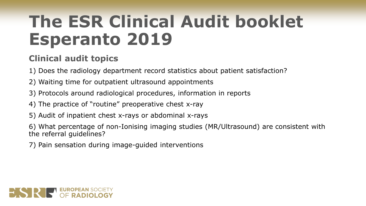#### **Clinical audit topics**

1) Does the radiology department record statistics about patient satisfaction?

- 2) Waiting time for outpatient ultrasound appointments
- 3) Protocols around radiological procedures, information in reports
- 4) The practice of "routine" preoperative chest x-ray
- 5) Audit of inpatient chest x-rays or abdominal x-rays

6) What percentage of non-Ionising imaging studies (MR/Ultrasound) are consistent with the referral guidelines?

7) Pain sensation during image-guided interventions

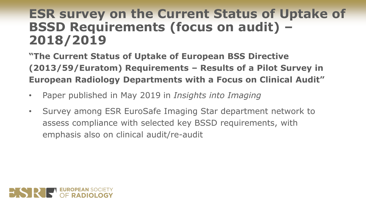### **ESR survey on the Current Status of Uptake of BSSD Requirements (focus on audit) – 2018/2019**

**"The Current Status of Uptake of European BSS Directive (2013/59/Euratom) Requirements – Results of a Pilot Survey in European Radiology Departments with a Focus on Clinical Audit"**

- Paper published in May 2019 in *Insights into Imaging*
- Survey among ESR EuroSafe Imaging Star department network to assess compliance with selected key BSSD requirements, with emphasis also on clinical audit/re-audit

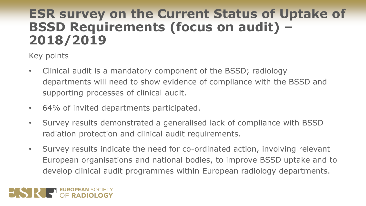### **ESR survey on the Current Status of Uptake of BSSD Requirements (focus on audit) – 2018/2019**

Key points

- Clinical audit is a mandatory component of the BSSD; radiology departments will need to show evidence of compliance with the BSSD and supporting processes of clinical audit.
- 64% of invited departments participated.
- Survey results demonstrated a generalised lack of compliance with BSSD radiation protection and clinical audit requirements.
- Survey results indicate the need for co-ordinated action, involving relevant European organisations and national bodies, to improve BSSD uptake and to develop clinical audit programmes within European radiology departments.

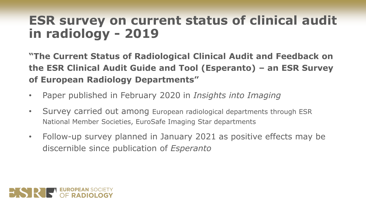### **ESR survey on current status of clinical audit in radiology - 2019**

**"The Current Status of Radiological Clinical Audit and Feedback on the ESR Clinical Audit Guide and Tool (Esperanto) – an ESR Survey of European Radiology Departments"**

- Paper published in February 2020 in *Insights into Imaging*
- Survey carried out among European radiological departments through ESR National Member Societies, EuroSafe Imaging Star departments
- Follow-up survey planned in January 2021 as positive effects may be discernible since publication of *Esperanto*

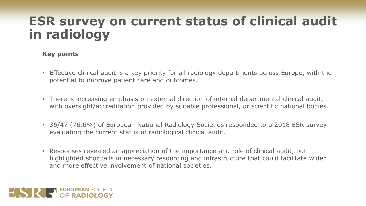### **ESR survey on current status of clinical audit in radiology**

#### **Key points**

- Effective clinical audit is a key priority for all radiology departments across Europe, with the potential to improve patient care and outcomes.
- There is increasing emphasis on external direction of internal departmental clinical audit, with oversight/accreditation provided by suitable professional, or scientific national bodies.
- 36/47 (76.6%) of European National Radiology Societies responded to a 2018 ESR survey evaluating the current status of radiological clinical audit.
- Responses revealed an appreciation of the importance and role of clinical audit, but highlighted shortfalls in necessary resourcing and infrastructure that could facilitate wider and more effective involvement of national societies.